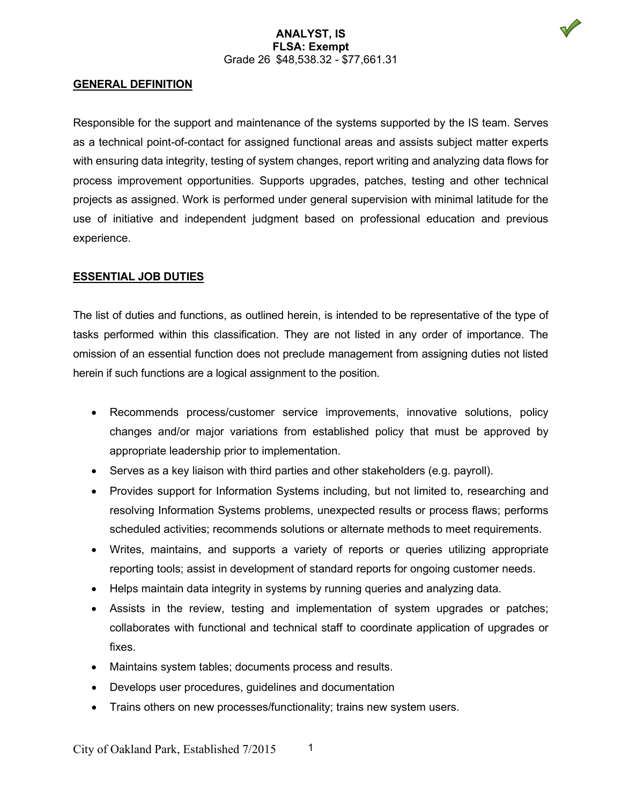### **ANALYST, IS FLSA: Exempt** Grade 26 \$48,538.32 - \$77,661.31



#### **GENERAL DEFINITION**

Responsible for the support and maintenance of the systems supported by the IS team. Serves as a technical point-of-contact for assigned functional areas and assists subject matter experts with ensuring data integrity, testing of system changes, report writing and analyzing data flows for process improvement opportunities. Supports upgrades, patches, testing and other technical projects as assigned. Work is performed under general supervision with minimal latitude for the use of initiative and independent judgment based on professional education and previous experience.

### **ESSENTIAL JOB DUTIES**

The list of duties and functions, as outlined herein, is intended to be representative of the type of tasks performed within this classification. They are not listed in any order of importance. The omission of an essential function does not preclude management from assigning duties not listed herein if such functions are a logical assignment to the position.

- Recommends process/customer service improvements, innovative solutions, policy changes and/or major variations from established policy that must be approved by appropriate leadership prior to implementation.
- Serves as a key liaison with third parties and other stakeholders (e.g. payroll).
- Provides support for Information Systems including, but not limited to, researching and resolving Information Systems problems, unexpected results or process flaws; performs scheduled activities; recommends solutions or alternate methods to meet requirements.
- Writes, maintains, and supports a variety of reports or queries utilizing appropriate reporting tools; assist in development of standard reports for ongoing customer needs.
- Helps maintain data integrity in systems by running queries and analyzing data.
- Assists in the review, testing and implementation of system upgrades or patches; collaborates with functional and technical staff to coordinate application of upgrades or fixes.
- Maintains system tables; documents process and results.
- Develops user procedures, guidelines and documentation
- Trains others on new processes/functionality; trains new system users.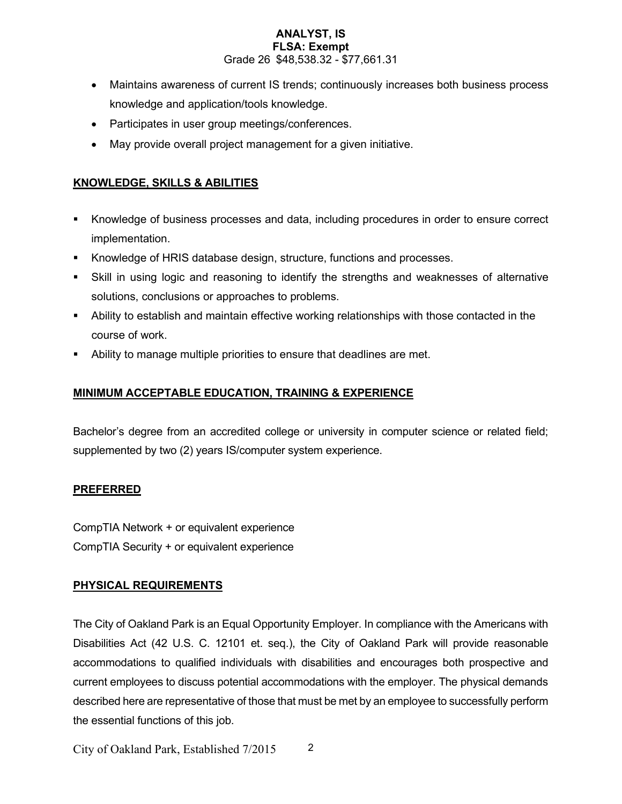### **ANALYST, IS FLSA: Exempt** Grade 26 \$48,538.32 - \$77,661.31

- Maintains awareness of current IS trends; continuously increases both business process knowledge and application/tools knowledge.
- Participates in user group meetings/conferences.
- May provide overall project management for a given initiative.

# **KNOWLEDGE, SKILLS & ABILITIES**

- Knowledge of business processes and data, including procedures in order to ensure correct implementation.
- Knowledge of HRIS database design, structure, functions and processes.
- Skill in using logic and reasoning to identify the strengths and weaknesses of alternative solutions, conclusions or approaches to problems.
- Ability to establish and maintain effective working relationships with those contacted in the course of work.
- Ability to manage multiple priorities to ensure that deadlines are met.

# **MINIMUM ACCEPTABLE EDUCATION, TRAINING & EXPERIENCE**

Bachelor's degree from an accredited college or university in computer science or related field; supplemented by two (2) years IS/computer system experience.

## **PREFERRED**

CompTIA Network + or equivalent experience CompTIA Security + or equivalent experience

## **PHYSICAL REQUIREMENTS**

The City of Oakland Park is an Equal Opportunity Employer. In compliance with the Americans with Disabilities Act (42 U.S. C. 12101 et. seq.), the City of Oakland Park will provide reasonable accommodations to qualified individuals with disabilities and encourages both prospective and current employees to discuss potential accommodations with the employer. The physical demands described here are representative of those that must be met by an employee to successfully perform the essential functions of this job.

City of Oakland Park, Established 7/2015 2